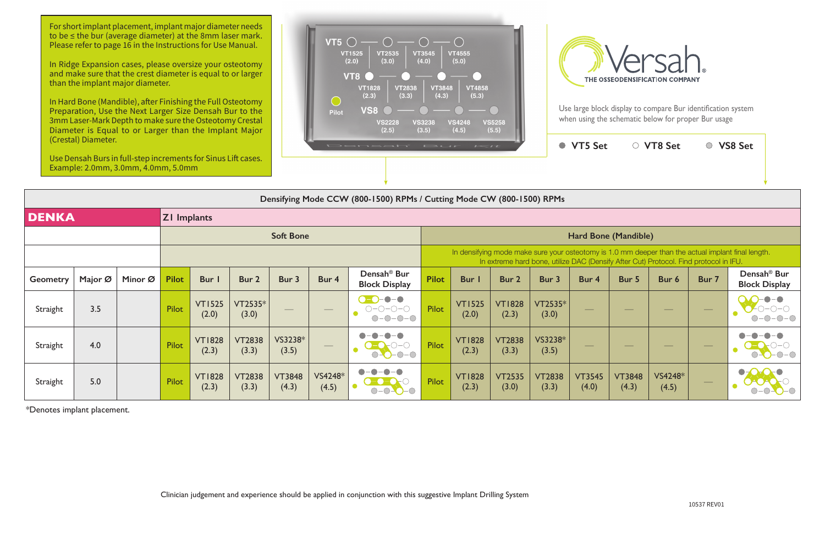|                 | (Crestal) Diameter.<br>Use Densah Burs in full-step increments for Sinus Lift cases.<br>Example: 2.0mm, 3.0mm, 4.0mm, 5.0mm |         |                    |                        |                        |                        |                                                                                                                                                                                                                                                                                                                                                                                                         | Densah                                                                                                              | $I \leq I$<br>$F \rightarrow C + F$ | $\bullet$                                                                                                                                                                                   | <b>VT5 Set</b>         |                        | ○ VT8 Set              |                        | ○ VS8 Set        |                   |                                                 |  |  |
|-----------------|-----------------------------------------------------------------------------------------------------------------------------|---------|--------------------|------------------------|------------------------|------------------------|---------------------------------------------------------------------------------------------------------------------------------------------------------------------------------------------------------------------------------------------------------------------------------------------------------------------------------------------------------------------------------------------------------|---------------------------------------------------------------------------------------------------------------------|-------------------------------------|---------------------------------------------------------------------------------------------------------------------------------------------------------------------------------------------|------------------------|------------------------|------------------------|------------------------|------------------|-------------------|-------------------------------------------------|--|--|
|                 | Densifying Mode CCW (800-1500) RPMs / Cutting Mode CW (800-1500) RPMs                                                       |         |                    |                        |                        |                        |                                                                                                                                                                                                                                                                                                                                                                                                         |                                                                                                                     |                                     |                                                                                                                                                                                             |                        |                        |                        |                        |                  |                   |                                                 |  |  |
| <b>DENKA</b>    |                                                                                                                             |         | <b>ZI Implants</b> |                        |                        |                        |                                                                                                                                                                                                                                                                                                                                                                                                         |                                                                                                                     |                                     |                                                                                                                                                                                             |                        |                        |                        |                        |                  |                   |                                                 |  |  |
|                 |                                                                                                                             |         | <b>Soft Bone</b>   |                        |                        |                        |                                                                                                                                                                                                                                                                                                                                                                                                         |                                                                                                                     |                                     | Hard Bone (Mandible)                                                                                                                                                                        |                        |                        |                        |                        |                  |                   |                                                 |  |  |
|                 |                                                                                                                             |         |                    |                        |                        |                        |                                                                                                                                                                                                                                                                                                                                                                                                         |                                                                                                                     |                                     | In densifying mode make sure your osteotomy is 1.0 mm deeper than the actual implant final length.<br>In extreme hard bone, utilize DAC (Densify After Cut) Protocol. Find protocol in IFU. |                        |                        |                        |                        |                  |                   |                                                 |  |  |
| <b>Geometry</b> | Major Ø                                                                                                                     | Minor Ø | <b>Pilot</b>       | Bur I                  | Bur 2                  | Bur 3                  | Bur 4                                                                                                                                                                                                                                                                                                                                                                                                   | Densah <sup>®</sup> Bur<br><b>Block Display</b>                                                                     | <b>Pilot</b>                        | <b>Bur</b>                                                                                                                                                                                  | Bur 2                  | Bur 3                  | Bur 4                  | Bur 5                  | Bur 6            | Bur 7             | Densah <sup>®</sup> Bur<br><b>Block Display</b> |  |  |
| Straight        | 3.5                                                                                                                         |         | Pilot              | <b>VT1525</b><br>(2.0) | VT2535*<br>(3.0)       |                        | $\hspace{1.0cm} \overbrace{\hspace{1.0cm}}$                                                                                                                                                                                                                                                                                                                                                             | $\bullet - \bullet$<br>$\bigcirc\negmedspace-\bigcirc\negmedspace-\bigcirc\negmedspace-\bigcirc$<br>O<br>$O-O-O-O-$ | Pilot                               | <b>VT1525</b><br>(2.0)                                                                                                                                                                      | <b>VT1828</b><br>(2.3) | VT2535*<br>(3.0)       |                        | --                     | $\frac{1}{2}$    | $\qquad \qquad -$ |                                                 |  |  |
| Straight        | 4.0                                                                                                                         |         | Pilot              | <b>VT1828</b><br>(2.3) | <b>VT2838</b><br>(3.3) | VS3238*<br>(3.5)       | $\hspace{1.0cm} \overline{\hspace{1.0cm} \hspace{1.0cm} \hspace{1.0cm} } \hspace{1.0cm} \hspace{1.0cm} \overline{\hspace{1.0cm} \hspace{1.0cm} \hspace{1.0cm} } \hspace{1.0cm} \hspace{1.0cm} \overline{\hspace{1.0cm} \hspace{1.0cm} \hspace{1.0cm} } \hspace{1.0cm} \hspace{1.0cm} \overline{\hspace{1.0cm} \hspace{1.0cm} \hspace{1.0cm} } \hspace{1.0cm} \hspace{1.0cm} \hspace{1.0cm} } \hspace{1$ | $O-O-O-O$                                                                                                           | Pilot                               | <b>VT1828</b><br>(2.3)                                                                                                                                                                      | <b>VT2838</b><br>(3.3) | VS3238*<br>(3.5)       |                        |                        |                  | $\hspace{0.05cm}$ |                                                 |  |  |
| Straight        | 5.0                                                                                                                         |         | Pilot              | <b>VT1828</b><br>(2.3) | <b>VT2838</b><br>(3.3) | <b>VT3848</b><br>(4.3) | VS4248*<br>(4.5)                                                                                                                                                                                                                                                                                                                                                                                        |                                                                                                                     | Pilot                               | <b>VT1828</b><br>(2.3)                                                                                                                                                                      | <b>VT2535</b><br>(3.0) | <b>VT2838</b><br>(3.3) | <b>VT3545</b><br>(4.0) | <b>VT3848</b><br>(4.3) | VS4248*<br>(4.5) |                   |                                                 |  |  |

\*Denotes implant placement.

For short implant placement, implant major diameter needs to be ≤ the bur (average diameter) at the 8mm laser mark. Please refer to page 16 in the Instructions for Use Manual.

In Ridge Expansion cases, please oversize your osteotomy and make sure that the crest diameter is equal to or larger than the implant major diameter.

In Hard Bone (Mandible), after Finishing the Full Osteotomy Preparation, Use the Next Larger Size Densah Bur to the 3mm Laser-Mark Depth to make sure the Osteotomy Crestal Diameter is Equal to or Larger than the Implant Major (Crestal) Diameter.





Use large block display to compare Bur identification system when using the schematic below for proper Bur usage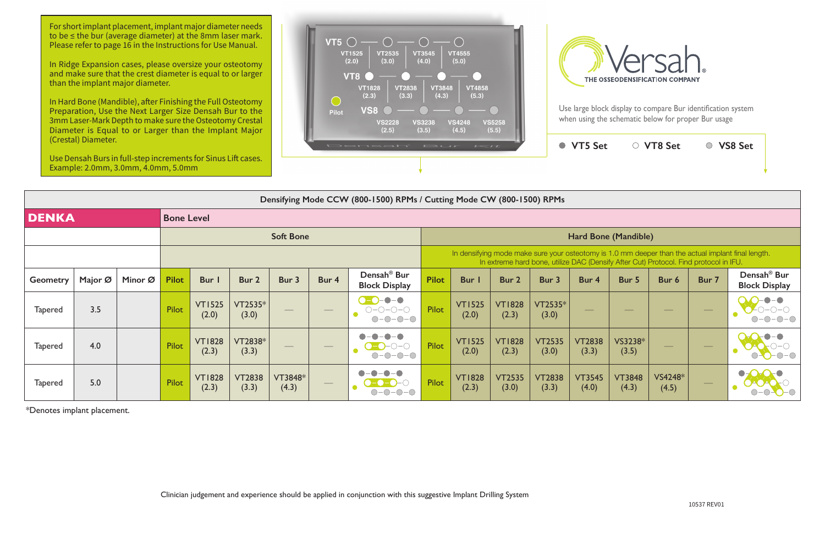

| Densifying Mode CCW (800-1500) RPMs / Cutting Mode CW (800-1500) RPMs |                   |         |                  |                        |                        |                   |                   |                                                 |                                                                                                                                                                                             |                        |                        |                        |                          |                          |                                                                                                                                                                                                                                                                                                                                                                                                                                                                            |                          |                                                 |  |  |
|-----------------------------------------------------------------------|-------------------|---------|------------------|------------------------|------------------------|-------------------|-------------------|-------------------------------------------------|---------------------------------------------------------------------------------------------------------------------------------------------------------------------------------------------|------------------------|------------------------|------------------------|--------------------------|--------------------------|----------------------------------------------------------------------------------------------------------------------------------------------------------------------------------------------------------------------------------------------------------------------------------------------------------------------------------------------------------------------------------------------------------------------------------------------------------------------------|--------------------------|-------------------------------------------------|--|--|
| <b>DENKA</b>                                                          | <b>Bone Level</b> |         |                  |                        |                        |                   |                   |                                                 |                                                                                                                                                                                             |                        |                        |                        |                          |                          |                                                                                                                                                                                                                                                                                                                                                                                                                                                                            |                          |                                                 |  |  |
|                                                                       |                   |         | <b>Soft Bone</b> |                        |                        |                   |                   |                                                 |                                                                                                                                                                                             | Hard Bone (Mandible)   |                        |                        |                          |                          |                                                                                                                                                                                                                                                                                                                                                                                                                                                                            |                          |                                                 |  |  |
|                                                                       |                   |         |                  |                        |                        |                   |                   |                                                 | In densifying mode make sure your osteotomy is 1.0 mm deeper than the actual implant final length.<br>In extreme hard bone, utilize DAC (Densify After Cut) Protocol. Find protocol in IFU. |                        |                        |                        |                          |                          |                                                                                                                                                                                                                                                                                                                                                                                                                                                                            |                          |                                                 |  |  |
| <b>Geometry</b>                                                       | Major Ø           | Minor Ø | <b>Pilot</b>     | Bur I                  | Bur 2                  | Bur 3             | Bur 4             | Densah <sup>®</sup> Bur<br><b>Block Display</b> | <b>Pilot</b>                                                                                                                                                                                | Bur                    | Bur 2                  | Bur 3                  | Bur 4                    | Bur 5                    | Bur 6                                                                                                                                                                                                                                                                                                                                                                                                                                                                      | Bur 7                    | Densah <sup>®</sup> Bur<br><b>Block Display</b> |  |  |
| <b>Tapered</b>                                                        | 3.5               |         | Pilot            | <b>VT1525</b><br>(2.0) | VT2535*<br>(3.0)       |                   |                   | $\bullet$ - $\bullet$<br>$O-O-O-O$<br>$O-O-O-O$ | <b>Pilot</b>                                                                                                                                                                                | <b>VT1525</b><br>(2.0) | <b>VT1828</b><br>(2.3) | VT2535*<br>(3.0)       | $\overline{\phantom{a}}$ | $\overline{\phantom{a}}$ |                                                                                                                                                                                                                                                                                                                                                                                                                                                                            |                          |                                                 |  |  |
| <b>Tapered</b>                                                        | 4.0               |         | Pilot            | <b>VT1828</b><br>(2.3) | VT2838*<br>(3.3)       | $\hspace{0.05cm}$ | $\hspace{0.05cm}$ | $\bullet-\bullet$<br>$\bullet$<br>$O-O-O-O$     | Pilot                                                                                                                                                                                       | <b>VT1525</b><br>(2.0) | <b>VT1828</b><br>(2.3) | <b>VT2535</b><br>(3.0) | <b>VT2838</b><br>(3.3)   | VS3238*<br>(3.5)         | $\frac{1}{2} \left( \frac{1}{2} \right) \left( \frac{1}{2} \right) \left( \frac{1}{2} \right) \left( \frac{1}{2} \right) \left( \frac{1}{2} \right) \left( \frac{1}{2} \right) \left( \frac{1}{2} \right) \left( \frac{1}{2} \right) \left( \frac{1}{2} \right) \left( \frac{1}{2} \right) \left( \frac{1}{2} \right) \left( \frac{1}{2} \right) \left( \frac{1}{2} \right) \left( \frac{1}{2} \right) \left( \frac{1}{2} \right) \left( \frac{1}{2} \right) \left( \frac$ | $\overline{\phantom{m}}$ |                                                 |  |  |
| <b>Tapered</b>                                                        | 5.0               |         | Pilot            | <b>VT1828</b><br>(2.3) | <b>VT2838</b><br>(3.3) | VT3848*<br>(4.3)  | $\hspace{0.1cm}$  | $\neg$                                          | Pilot                                                                                                                                                                                       | <b>VT1828</b><br>(2.3) | <b>VT2535</b><br>(3.0) | <b>VT2838</b><br>(3.3) | <b>VT3545</b><br>(4.0)   | <b>VT3848</b><br>(4.3)   | VS4248*<br>(4.5)                                                                                                                                                                                                                                                                                                                                                                                                                                                           | $\overline{\phantom{a}}$ |                                                 |  |  |

For short implant placement, implant major diameter needs to be ≤ the bur (average diameter) at the 8mm laser mark. Please refer to page 16 in the Instructions for Use Manual.

\*Denotes implant placement.

In Ridge Expansion cases, please oversize your osteotomy and make sure that the crest diameter is equal to or larger than the implant major diameter.

In Hard Bone (Mandible), after Finishing the Full Osteotomy Preparation, Use the Next Larger Size Densah Bur to the 3mm Laser-Mark Depth to make sure the Osteotomy Crestal Diameter is Equal to or Larger than the Implant Major (Crestal) Diameter.

Use Densah Burs in full-step increments for Sinus Lift cases. Example: 2.0mm, 3.0mm, 4.0mm, 5.0mm





Use large block display to compare Bur identification system when using the schematic below for proper Bur usage